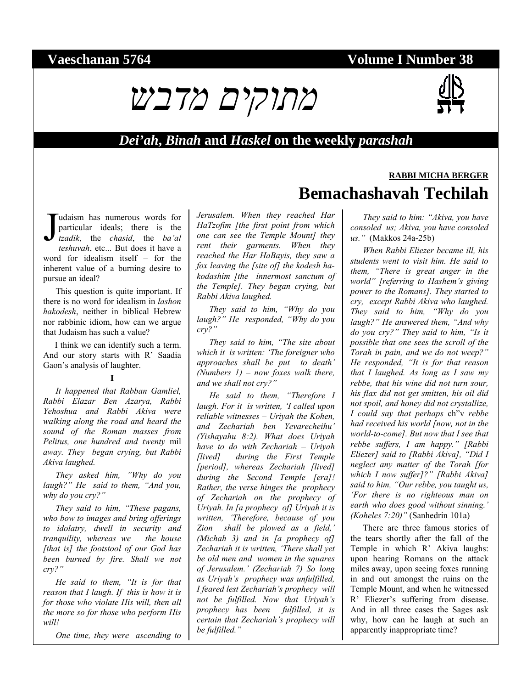# **Vaeschanan 5764 Volume I Number 38**



## *Dei'ah***,** *Binah* **and** *Haskel* **on the weekly** *parashah*

udaism has numerous words for particular ideals; there is the *tzadik*, the *chasid*, the *ba'al teshuvah*, etc... But does it have a word for idealism itself – for the inherent value of a burning desire to pursue an ideal? J

This question is quite important. If there is no word for idealism in *lashon hakodesh*, neither in biblical Hebrew nor rabbinic idiom, how can we argue that Judaism has such a value?

I think we can identify such a term. And our story starts with R' Saadia Gaon's analysis of laughter.

### **I**

*It happened that Rabban Gamliel, Rabbi Elazar Ben Azarya, Rabbi Yehoshua and Rabbi Akiva were walking along the road and heard the sound of the Roman masses from Pelitus, one hundred and twenty* mil *away. They began crying, but Rabbi Akiva laughed.* 

*They asked him, "Why do you laugh?" He said to them, "And you, why do you cry?"* 

*They said to him, "These pagans, who bow to images and bring offerings to idolatry, dwell in security and tranquility, whereas we – the house [that is] the footstool of our God has been burned by fire. Shall we not cry?"* 

*He said to them, "It is for that reason that I laugh. If this is how it is for those who violate His will, then all the more so for those who perform His will!* 

*One time, they were ascending to* 

*Jerusalem. When they reached Har HaTzofim [the first point from which one can see the Temple Mount] they rent their garments. When they reached the Har HaBayis, they saw a fox leaving the [site of] the kodesh hakodashim [the innermost sanctum of the Temple]. They began crying, but Rabbi Akiva laughed.* 

*They said to him, "Why do you laugh?" He responded, "Why do you cry?"* 

*They said to him, "The site about which it is written: 'The foreigner who approaches shall be put to death' (Numbers 1) – now foxes walk there, and we shall not cry?"* 

*He said to them, "Therefore I laugh. For it is written, 'I called upon reliable witnesses – Uriyah the Kohen, and Zechariah ben Yevarecheihu' (Yishayahu 8:2). What does Uriyah have to do with Zechariah – Uriyah [lived] during the First Temple [period], whereas Zechariah [lived] during the Second Temple [era]! Rather, the verse hinges the prophecy of Zechariah on the prophecy of Uriyah. In [a prophecy of] Uriyah it is written, 'Therefore, because of you Zion shall be plowed as a field,' (Michah 3) and in [a prophecy of] Zechariah it is written, 'There shall yet be old men and women in the squares of Jerusalem.' (Zechariah 7) So long as Uriyah's prophecy was unfulfilled, I feared lest Zechariah's prophecy will not be fulfilled. Now that Uriyah's prophecy has been fulfilled, it is certain that Zechariah's prophecy will be fulfilled."* 

# **RABBI MICHA BERGER Bemachashavah Techilah**

*They said to him: "Akiva, you have consoled us; Akiva, you have consoled us."* (Makkos 24a-25b)

*When Rabbi Eliezer became ill, his students went to visit him. He said to them, "There is great anger in the world" [referring to Hashem's giving power to the Romans]. They started to cry, except Rabbi Akiva who laughed. They said to him, "Why do you laugh?" He answered them, "And why do you cry?" They said to him, "Is it possible that one sees the scroll of the Torah in pain, and we do not weep?" He responded, "It is for that reason that I laughed. As long as I saw my rebbe, that his wine did not turn sour, his flax did not get smitten, his oil did not spoil, and honey did not crystallize, I could say that perhaps* ch"v *rebbe had received his world [now, not in the world-to-come]. But now that I see that rebbe suffers, I am happy." [Rabbi Eliezer] said to [Rabbi Akiva], "Did I neglect any matter of the Torah [for which I now suffer]?" [Rabbi Akiva] said to him, "Our rebbe, you taught us, 'For there is no righteous man on earth who does good without sinning.' (Koheles 7:20)"* (Sanhedrin 101a)

There are three famous stories of the tears shortly after the fall of the Temple in which R' Akiva laughs: upon hearing Romans on the attack miles away, upon seeing foxes running in and out amongst the ruins on the Temple Mount, and when he witnessed R' Eliezer's suffering from disease. And in all three cases the Sages ask why, how can he laugh at such an apparently inappropriate time?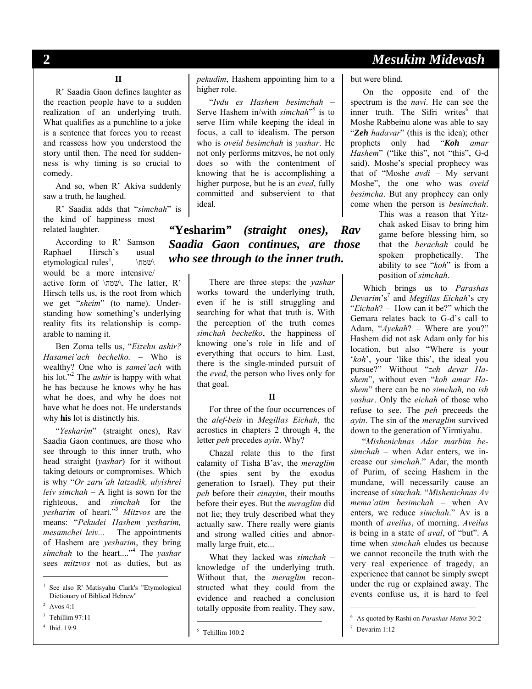# **2** *Mesukim Midevash*

## **II**

R' Saadia Gaon defines laughter as the reaction people have to a sudden realization of an underlying truth. What qualifies as a punchline to a joke is a sentence that forces you to recast and reassess how you understood the story until then. The need for suddenness is why timing is so crucial to comedy.

And so, when R' Akiva suddenly saw a truth, he laughed.

R' Saadia adds that "*simchah*" is the kind of happiness most related laughter.

According to R' Samson Raphael Hirsch's usual etymological rules<sup>1</sup>,  $\forall$ שמח $\land$ would be a more intensive/ active form of \שמה\. The latter, R' Hirsch tells us, is the root from which we get "*sheim*" (to name). Understanding how something's underlying reality fits its relationship is comparable to naming it.

Ben Zoma tells us, "*Eizehu ashir? Hasamei'ach bechelko.* – Who is wealthy? One who is *samei'ach* with his lot."<sup>2</sup> The *ashir* is happy with what he has because he knows why he has what he does, and why he does not have what he does not. He understands why **his** lot is distinctly his.

"*Yesharim*" (straight ones), Rav Saadia Gaon continues, are those who see through to this inner truth, who head straight (*yashar*) for it without taking detours or compromises. Which is why "*Or zaru'ah latzadik, ulyishrei leiv simchah* – A light is sown for the righteous, and *simchah* for the *yesharim* of heart."3 *Mitzvos* are the means: "*Pekudei Hashem yesharim, mesamchei leiv...* – The appointments of Hashem are *yesharim*, they bring *simchah* to the heart...."4 The *yashar*  sees *mitzvos* not as duties, but as

l

4 Ibid. 19:9

*pekudim*, Hashem appointing him to a higher role.

"*Ivdu es Hashem besimchah* – Serve Hashem in/with *simchah*<sup>115</sup> is to serve Him while keeping the ideal in focus, a call to idealism. The person who is *oveid besimchah* is *yashar*. He not only performs mitzvos, he not only does so with the contentment of knowing that he is accomplishing a higher purpose, but he is an *eved*, fully committed and subservient to that ideal.

## *"***Yesharim***" (straight ones), Rav Saadia Gaon continues, are those who see through to the inner truth.*

There are three steps: the *yashar*  works toward the underlying truth, even if he is still struggling and searching for what that truth is. With the perception of the truth comes *simchah bechelko*, the happiness of knowing one's role in life and of everything that occurs to him*.* Last, there is the single-minded pursuit of the *eved*, the person who lives only for that goal.

### **II**

For three of the four occurrences of the *alef-beis* in *Megillas Eichah*, the acrostics in chapters 2 through 4, the letter *peh* precedes *ayin*. Why?

Chazal relate this to the first calamity of Tisha B'av, the *meraglim*  (the spies sent by the exodus generation to Israel). They put their *peh* before their *einayim*, their mouths before their eyes. But the *meraglim* did not lie; they truly described what they actually saw. There really were giants and strong walled cities and abnormally large fruit, etc...

What they lacked was *simchah* – knowledge of the underlying truth. Without that, the *meraglim* reconstructed what they could from the evidence and reached a conclusion totally opposite from reality. They saw,

 $\overline{a}$ 

but were blind.

On the opposite end of the spectrum is the *navi*. He can see the inner truth. The Sifri writes<sup>6</sup> that Moshe Rabbeinu alone was able to say "Zeh *hadavar*" (this is the idea); other prophets only had "*Koh amar Hashem*" ("like this", not "this", G-d said). Moshe's special prophecy was that of "Moshe *avdi –* My servant Moshe", the one who was *oveid besimcha*. But any prophecy can only come when the person is *besimchah*.

> This was a reason that Yitzchak asked Eisav to bring him game before blessing him, so that the *berachah* could be spoken prophetically. The ability to see "*koh*" is from a position of *simchah*.

Which brings us to *Parashas Devarim*'s<sup>7</sup> and *Megillas Eichah*'s cry "*Eichah*? – How can it be?" which the Gemara relates back to G-d's call to Adam, "*Ayekah*? – Where are you?" Hashem did not ask Adam only for his location, but also "Where is your '*koh*', your 'like this', the ideal you pursue?" Without "*zeh devar Hashem*", without even "*koh amar Hashem*" there can be no *simchah,* no *ish yashar*. Only the *eichah* of those who refuse to see. The *peh* preceeds the *ayin*. The sin of the *meraglim* survived down to the generation of Yirmiyahu.

"*Mishenichnas Adar marbim besimchah* – when Adar enters, we increase our *simchah*." Adar, the month of Purim, of seeing Hashem in the mundane, will necessarily cause an increase of *simchah.* "*Mishenichnas Av mema'atim besimchah* – when Av enters, we reduce *simchah*." Av is a month of *aveilus*, of morning. *Aveilus*  is being in a state of *aval*, of "but". A time when *simchah* eludes us because we cannot reconcile the truth with the very real experience of tragedy, an experience that cannot be simply swept under the rug or explained away. The events confuse us, it is hard to feel

-

<sup>1</sup> See also R' Matisyahu Clark's "Etymological Dictionary of Biblical Hebrew"

<sup>&</sup>lt;sup>2</sup> Avos 4:1

 $3$  Tehillim 97:11

<sup>5</sup> Tehillim 100:2

<sup>6</sup> As quoted by Rashi on *Parashas Matos* 30:2

<sup>7</sup> Devarim 1:12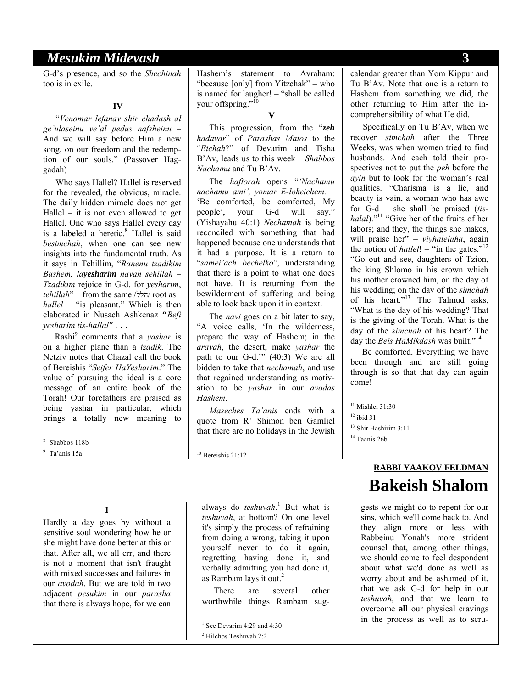## *Mesukim Midevash* **3**

G-d's presence, and so the *Shechinah*  too is in exile.

### **IV**

"*Venomar lefanav shir chadash al ge'ulaseinu ve'al pedus nafsheinu* – And we will say before Him a new song, on our freedom and the redemption of our souls." (Passover Haggadah)

Who says Hallel? Hallel is reserved for the revealed, the obvious, miracle. The daily hidden miracle does not get Hallel – it is not even allowed to get Hallel. One who says Hallel every day is a labeled a heretic.<sup>8</sup> Hallel is said *besimchah*, when one can see new insights into the fundamental truth. As it says in Tehillim, "*Ranenu tzadikim Bashem, layesharim navah sehillah* – *Tzadikim* rejoice in G-d, for *yesharim*, *tehillah*" – from the same /הלל/ root as *hallel* – "is pleasant." Which is then elaborated in Nusach Ashkenaz "*Befi yesharim tis-hallal*"*...*

Rashi9 comments that a *yashar* is on a higher plane than a *tzadik*. The Netziv notes that Chazal call the book of Bereishis "*Seifer HaYesharim*." The value of pursuing the ideal is a core message of an entire book of the Torah! Our forefathers are praised as being yashar in particular, which brings a totally new meaning to

8 Sbabbos 118b

l

**I** 

Hardly a day goes by without a sensitive soul wondering how he or she might have done better at this or that. After all, we all err, and there is not a moment that isn't fraught with mixed successes and failures in our *avodah*. But we are told in two adjacent *pesukim* in our *parasha* that there is always hope, for we can Hashem's statement to Avraham: "because [only] from Yitzchak" – who is named for laugher! – "shall be called your offspring."<sup>10</sup>

**V**

This progression, from the "*zeh hadavar*" of *Parashas Matos* to the "*Eichah*?" of Devarim and Tisha B'Av, leads us to this week – *Shabbos Nachamu* and Tu B'Av.

The *haftorah* opens "*'Nachamu nachamu ami', yomar E-lokeichem.* – 'Be comforted, be comforted, My people', your G-d will say." (Yishayahu 40:1) *Nechamah* is being reconciled with something that had happened because one understands that it had a purpose. It is a return to "*samei'ach bechelko*", understanding that there is a point to what one does not have. It is returning from the bewilderment of suffering and being able to look back upon it in context.

The *navi* goes on a bit later to say, "A voice calls, 'In the wilderness, prepare the way of Hashem; in the *aravah*, the desert, make *yashar* the path to our G-d.'" (40:3) We are all bidden to take that *nechamah*, and use that regained understanding as motivation to be *yashar* in our *avodas Hashem*.

*Maseches Ta'anis* ends with a quote from R' Shimon ben Gamliel that there are no holidays in the Jewish

<sup>10</sup> Bereishis 21:12

 $\overline{a}$ 

 $\overline{a}$ 

always do *teshuvah*.<sup>1</sup> But what is *teshuvah*, at bottom? On one level it's simply the process of refraining from doing a wrong, taking it upon yourself never to do it again, regretting having done it, and verbally admitting you had done it, as Rambam lays it out. $2$ 

There are several other worthwhile things Rambam sug-

Specifically on Tu B'Av, when we recover *simchah* after the Three Weeks, was when women tried to find husbands. And each told their prospectives not to put the *peh* before the *ayin* but to look for the woman's real qualities. "Charisma is a lie, and beauty is vain, a woman who has awe for G-d – she shall be praised (*tishalal*)."11 "Give her of the fruits of her labors; and they, the things she makes, will praise her" – *viyhaleluha*, again the notion of *hallel*! – "in the gates."<sup>12</sup> "Go out and see, daughters of Tzion, the king Shlomo in his crown which his mother crowned him, on the day of his wedding; on the day of the *simchah*  of his heart."13 The Talmud asks, "What is the day of his wedding? That is the giving of the Torah. What is the day of the *simchah* of his heart? The day the *Beis HaMikdash* was built."<sup>14</sup>

Be comforted. Everything we have been through and are still going through is so that that day can again come!

 $12$  ibid 31

-

<sup>14</sup> Taanis 26b

# **RABBI YAAKOV FELDMAN Bakeish Shalom**

gests we might do to repent for our sins, which we'll come back to. And they align more or less with Rabbeinu Yonah's more strident counsel that, among other things, we should come to feel despondent about what we'd done as well as worry about and be ashamed of it, that we ask G-d for help in our *teshuvah*, and that we learn to overcome **all** our physical cravings in the process as well as to scru-

<sup>9</sup> Ta'anis 15a

<sup>&</sup>lt;sup>1</sup> See Devarim 4:29 and 4:30 2 Hilchos Teshuvah 2:2

calendar greater than Yom Kippur and Tu B'Av. Note that one is a return to Hashem from something we did, the other returning to Him after the incomprehensibility of what He did.

<sup>&</sup>lt;sup>11</sup> Mishlei 31:30

<sup>13</sup> Shir Hashirim 3:11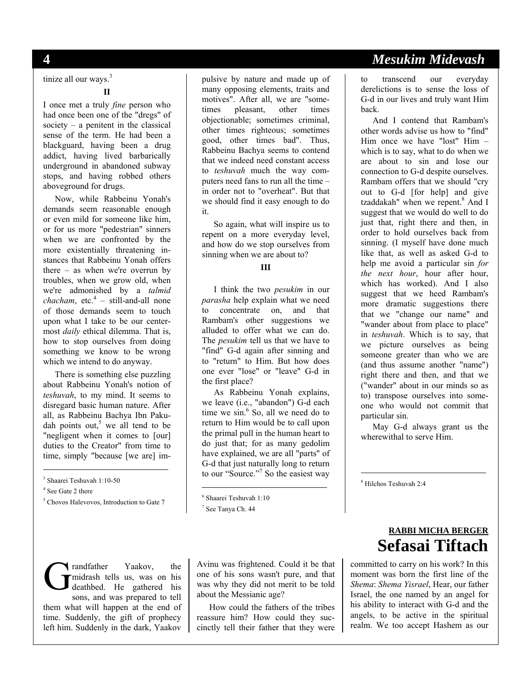tinize all our ways.<sup>3</sup>

#### **II**

I once met a truly *fine* person who had once been one of the "dregs" of society – a penitent in the classical sense of the term. He had been a blackguard, having been a drug addict, having lived barbarically underground in abandoned subway stops, and having robbed others aboveground for drugs.

Now, while Rabbeinu Yonah's demands seem reasonable enough or even mild for someone like him, or for us more "pedestrian" sinners when we are confronted by the more existentially threatening instances that Rabbeinu Yonah offers there – as when we're overrun by troubles, when we grow old, when we're admonished by a *talmid*   $chacham$ ,  $etc.<sup>4</sup> - still-and-all none$ of those demands seem to touch upon what I take to be our centermost *daily* ethical dilemma. That is, how to stop ourselves from doing something we know to be wrong which we intend to do anyway.

There is something else puzzling about Rabbeinu Yonah's notion of *teshuvah*, to my mind. It seems to disregard basic human nature. After all, as Rabbeinu Bachya Ibn Pakudah points out,<sup>5</sup> we all tend to be "negligent when it comes to [our] duties to the Creator" from time to time, simply "because [we are] im-

3 Shaarei Teshuvah 1:10-50

4 See Gate 2 there

l

5 Chovos Halevovos, Introduction to Gate 7

randfather Yaakov, the midrash tells us, was on his deathbed. He gathered his sons, and was prepared to tell them what will happen at the end of time. Suddenly, the gift of prophecy left him. Suddenly in the dark, Yaakov G

pulsive by nature and made up of many opposing elements, traits and motives". After all, we are "sometimes pleasant, other times objectionable; sometimes criminal, other times righteous; sometimes good, other times bad". Thus, Rabbeinu Bachya seems to contend that we indeed need constant access to *teshuvah* much the way computers need fans to run all the time – in order not to "overheat". But that we should find it easy enough to do it.

So again, what will inspire us to repent on a more everyday level, and how do we stop ourselves from sinning when we are about to?

## **III**

I think the two *pesukim* in our *parasha* help explain what we need to concentrate on, and that Rambam's other suggestions we alluded to offer what we can do. The *pesukim* tell us that we have to "find" G-d again after sinning and to "return" to Him. But how does one ever "lose" or "leave" G-d in the first place?

As Rabbeinu Yonah explains, we leave (i.e., "abandon") G-d each time we sin.<sup>6</sup> So, all we need do to return to Him would be to call upon the primal pull in the human heart to do just that; for as many gedolim have explained, we are all "parts" of G-d that just naturally long to return to our "Source."7 So the easiest way

7 See Tanya Ch. 44

 $\overline{a}$ 

Avinu was frightened. Could it be that one of his sons wasn't pure, and that was why they did not merit to be told about the Messianic age?

How could the fathers of the tribes reassure him? How could they succinctly tell their father that they were

# **4** *Mesukim Midevash*

to transcend our everyday derelictions is to sense the loss of G-d in our lives and truly want Him back.

And I contend that Rambam's other words advise us how to "find" Him once we have "lost" Him – which is to say, what to do when we are about to sin and lose our connection to G-d despite ourselves. Rambam offers that we should "cry out to G-d [for help] and give tzaddakah" when we repent.<sup>8</sup> And I suggest that we would do well to do just that, right there and then, in order to hold ourselves back from sinning. (I myself have done much like that, as well as asked G-d to help me avoid a particular sin *for the next hour*, hour after hour, which has worked). And I also suggest that we heed Rambam's more dramatic suggestions there that we "change our name" and "wander about from place to place" in *teshuvah*. Which is to say, that we picture ourselves as being someone greater than who we are (and thus assume another "name") right there and then, and that we ("wander" about in our minds so as to) transpose ourselves into someone who would not commit that particular sin.

May G-d always grant us the wherewithal to serve Him.

8 Hilchos Teshuvah 2:4

1

# **RABBI MICHA BERGER Sefasai Tiftach**

committed to carry on his work? In this moment was born the first line of the *Shema*: *Shema Yisrael*, Hear, our father Israel, the one named by an angel for his ability to interact with G-d and the angels, to be active in the spiritual realm. We too accept Hashem as our

<sup>6</sup> Shaarei Teshuvah 1:10